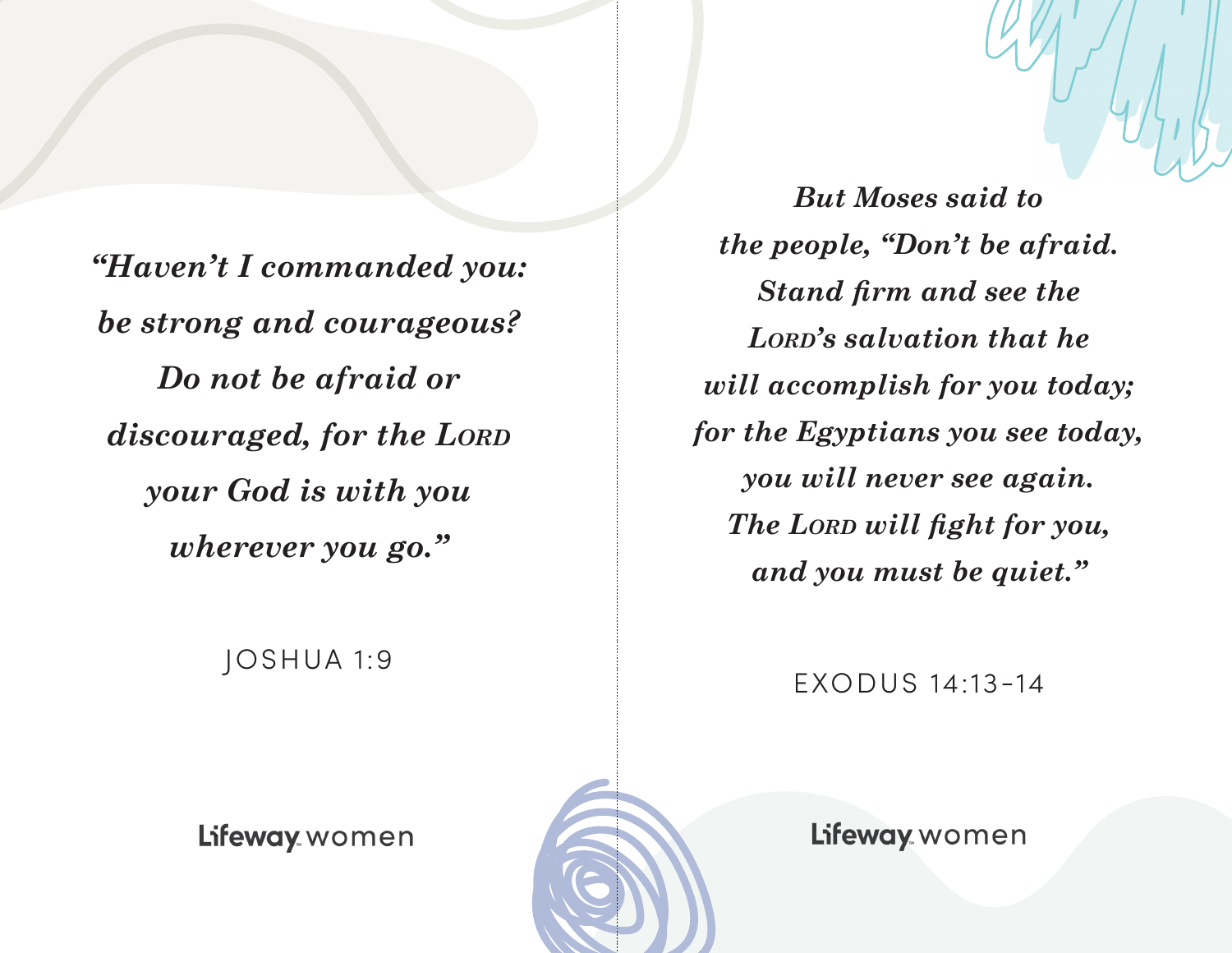*"Haven't I commanded you: be strong and courageous? Do not be afraid or discouraged, for the Lord your God is with you wherever you go."*

*But Moses said to the people, "Don't be afraid. Stand firm and see the Lord's salvation that he will accomplish for you today; for the Egyptians you see today, you will never see again. The Lord will fight for you, and you must be quiet."*

JOSHUA 1:9

EXODUS 14:13-14

Lifeway women



Lifeway women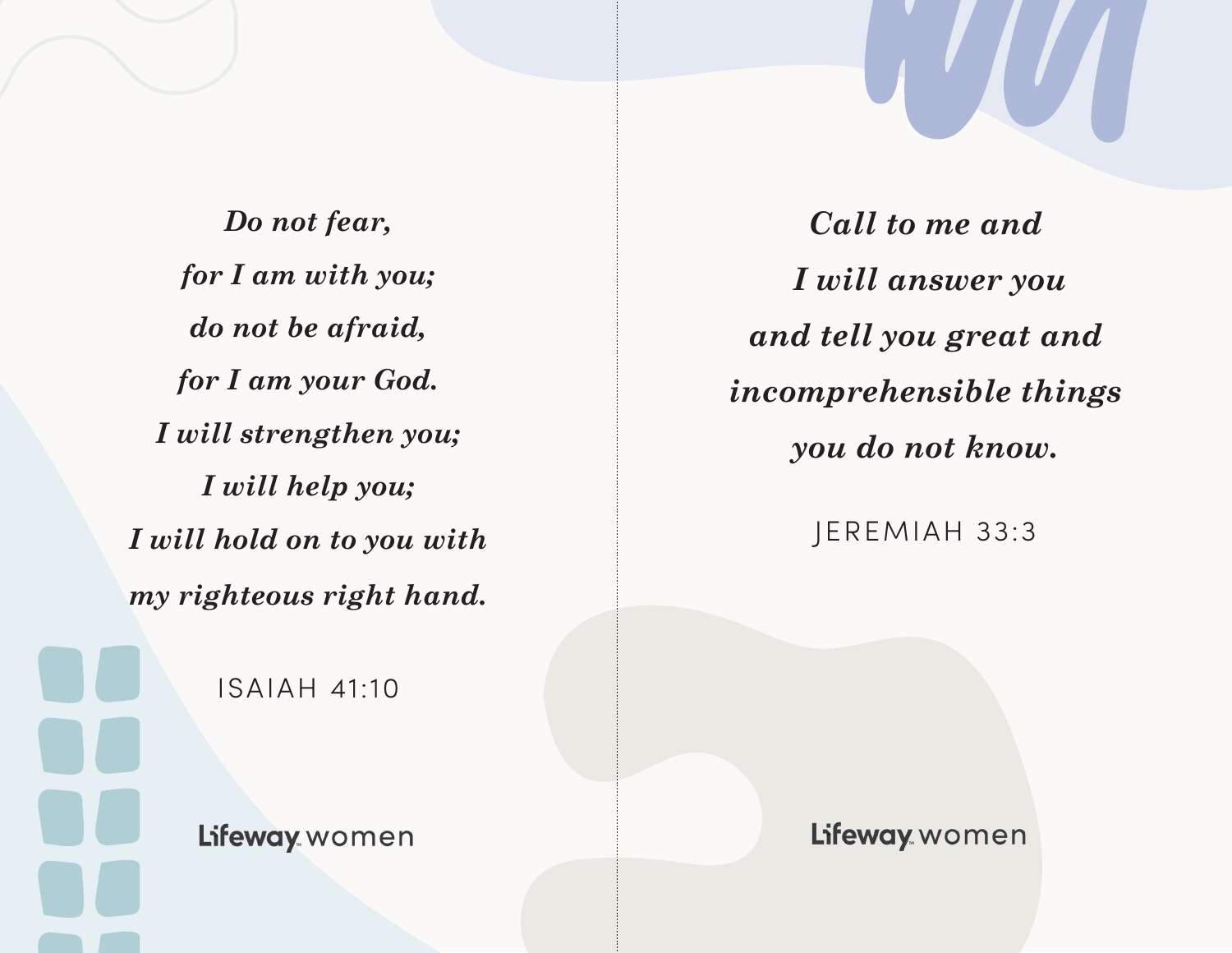*Do not fear, for I am with you; do not be afraid, for I am your God. I will strengthen you; I will help you; I will hold on to you with my righteous right hand.*

ISAIAH 41:10

Lifeway women

*Call to me and I will answer you and tell you great and incomprehensible things you do not know.*

JEREMIAH 33:3

Lifeway women